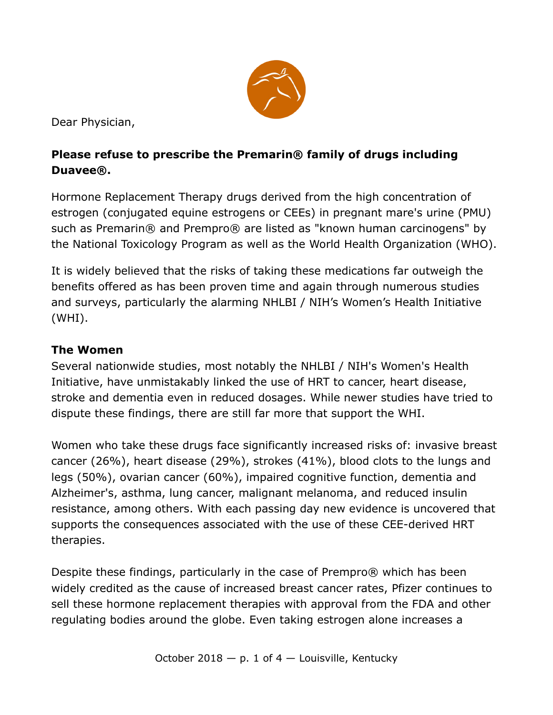

Dear Physician,

## **Please refuse to prescribe the Premarin® family of drugs including Duavee®.**

Hormone Replacement Therapy drugs derived from the high concentration of estrogen (conjugated equine estrogens or CEEs) in pregnant mare's urine (PMU) such as Premarin® and Prempro® are listed as "known human carcinogens" by the National Toxicology Program as well as the World Health Organization (WHO).

It is widely believed that the risks of taking these medications far outweigh the benefits offered as has been proven time and again through numerous studies and surveys, particularly the alarming NHLBI / NIH's Women's Health Initiative (WHI).

## **The Women**

Several nationwide studies, most notably the NHLBI / NIH's Women's Health Initiative, have unmistakably linked the use of HRT to cancer, heart disease, stroke and dementia even in reduced dosages. While newer studies have tried to dispute these findings, there are still far more that support the WHI.

Women who take these drugs face significantly increased risks of: invasive breast cancer (26%), heart disease (29%), strokes (41%), blood clots to the lungs and legs (50%), ovarian cancer (60%), impaired cognitive function, dementia and Alzheimer's, asthma, lung cancer, malignant melanoma, and reduced insulin resistance, among others. With each passing day new evidence is uncovered that supports the consequences associated with the use of these CEE-derived HRT therapies.

Despite these findings, particularly in the case of Prempro® which has been widely credited as the cause of increased breast cancer rates, Pfizer continues to sell these hormone replacement therapies with approval from the FDA and other regulating bodies around the globe. Even taking estrogen alone increases a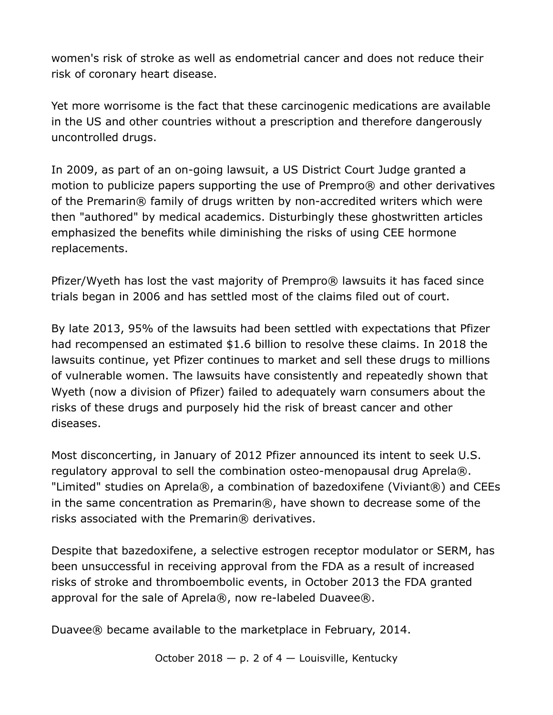women's risk of stroke as well as endometrial cancer and does not reduce their risk of coronary heart disease.

Yet more worrisome is the fact that these carcinogenic medications are available in the US and other countries without a prescription and therefore dangerously uncontrolled drugs.

In 2009, as part of an on-going lawsuit, a US District Court Judge granted a motion to publicize papers supporting the use of Prempro® and other derivatives of the Premarin® family of drugs written by non-accredited writers which were then "authored" by medical academics. Disturbingly these ghostwritten articles emphasized the benefits while diminishing the risks of using CEE hormone replacements.

Pfizer/Wyeth has lost the vast majority of Prempro® lawsuits it has faced since trials began in 2006 and has settled most of the claims filed out of court.

By late 2013, 95% of the lawsuits had been settled with expectations that Pfizer had recompensed an estimated \$1.6 billion to resolve these claims. In 2018 the lawsuits continue, yet Pfizer continues to market and sell these drugs to millions of vulnerable women. The lawsuits have consistently and repeatedly shown that Wyeth (now a division of Pfizer) failed to adequately warn consumers about the risks of these drugs and purposely hid the risk of breast cancer and other diseases.

Most disconcerting, in January of 2012 Pfizer announced its intent to seek U.S. regulatory approval to sell the combination osteo-menopausal drug Aprela®. "Limited" studies on Aprela®, a combination of bazedoxifene (Viviant®) and CEEs in the same concentration as Premarin®, have shown to decrease some of the risks associated with the Premarin® derivatives.

Despite that bazedoxifene, a selective estrogen receptor modulator or SERM, has been unsuccessful in receiving approval from the FDA as a result of increased risks of stroke and thromboembolic events, in October 2013 the FDA granted approval for the sale of Aprela®, now re-labeled Duavee®.

Duavee® became available to the marketplace in February, 2014.

October 2018  $-$  p. 2 of 4  $-$  Louisville, Kentucky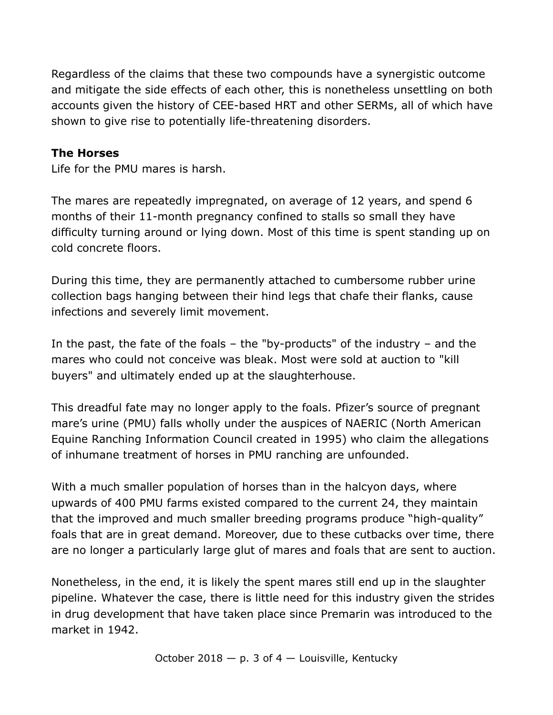Regardless of the claims that these two compounds have a synergistic outcome and mitigate the side effects of each other, this is nonetheless unsettling on both accounts given the history of CEE-based HRT and other SERMs, all of which have shown to give rise to potentially life-threatening disorders.

## **The Horses**

Life for the PMU mares is harsh.

The mares are repeatedly impregnated, on average of 12 years, and spend 6 months of their 11-month pregnancy confined to stalls so small they have difficulty turning around or lying down. Most of this time is spent standing up on cold concrete floors.

During this time, they are permanently attached to cumbersome rubber urine collection bags hanging between their hind legs that chafe their flanks, cause infections and severely limit movement.

In the past, the fate of the foals – the "by-products" of the industry – and the mares who could not conceive was bleak. Most were sold at auction to "kill buyers" and ultimately ended up at the slaughterhouse.

This dreadful fate may no longer apply to the foals. Pfizer's source of pregnant mare's urine (PMU) falls wholly under the auspices of NAERIC (North American Equine Ranching Information Council created in 1995) who claim the allegations of inhumane treatment of horses in PMU ranching are unfounded.

With a much smaller population of horses than in the halcyon days, where upwards of 400 PMU farms existed compared to the current 24, they maintain that the improved and much smaller breeding programs produce "high-quality" foals that are in great demand. Moreover, due to these cutbacks over time, there are no longer a particularly large glut of mares and foals that are sent to auction.

Nonetheless, in the end, it is likely the spent mares still end up in the slaughter pipeline. Whatever the case, there is little need for this industry given the strides in drug development that have taken place since Premarin was introduced to the market in 1942.